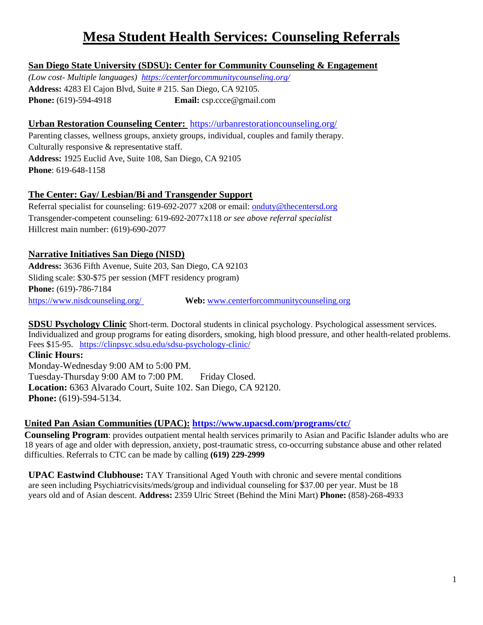# **Mesa Student Health Services: Counseling Referrals**

## **San Diego State University (SDSU): Center for Community Counseling & Engagement**

*(Low cost- Multiple languages) <https://centerforcommunitycounseling.org/>* **Address:** 4283 El Cajon Blvd, Suite # 215. San Diego, CA 92105. **Phone:** (619)-594-4918 **Email:** [csp.ccce@gmail.com](mailto:csp.ccce@gmail.com)

#### **Urban Restoration Counseling Center:** <https://urbanrestorationcounseling.org/>

Parenting classes, wellness groups, anxiety groups, individual, couples and family therapy. Culturally responsive & representative staff. **Address:** 1925 Euclid Ave, Suite 108, San Diego, CA 92105 **Phone**: 619-648-1158

## **The Center: Gay/ Lesbian/Bi and Transgender Support**

Referral specialist for counseling: 619-692-2077 x208 or email: [onduty@thecentersd.org](mailto:onduty@thecentersd.org) Transgender-competent counseling: 619-692-2077x118 *or see above referral specialist* Hillcrest main number: (619)-690-2077

#### **Narrative Initiatives San Diego (NISD)**

**Address:** 3636 Fifth Avenue, Suite 203, San Diego, CA 92103 Sliding scale: \$30-\$75 per session (MFT residency program) **Phone:** (619)-786-7184 <https://www.nisdcounseling.org/> **Web:** [www.centerforcommunitycounseling.org](http://www.centerforcommunitycounseling.org/)

**SDSU Psychology Clinic** Short-term. Doctoral students in clinical psychology. Psychological assessment services. Individualized and group programs for eating disorders, smoking, high blood pressure, and other health-related problems. Fees \$15-95. <https://clinpsyc.sdsu.edu/sdsu-psychology-clinic/>

**Clinic Hours:** Monday-Wednesday 9:00 AM to 5:00 PM. Tuesday-Thursday 9:00 AM to 7:00 PM. Friday Closed. **Location:** 6363 Alvarado Court, Suite 102. San Diego, CA 92120. **Phone:** (619)-594-5134.

## **United Pan Asian Communities (UPAC): <https://www.upacsd.com/programs/ctc/>**

**Counseling Program**: provides outpatient mental health services primarily to Asian and Pacific Islander adults who are 18 years of age and older with depression, anxiety, post-traumatic stress, co-occurring substance abuse and other related difficulties. Referrals to CTC can be made by calling **(619) 229-2999**

**UPAC Eastwind Clubhouse:** TAY Transitional Aged Youth with chronic and severe mental conditions are seen including Psychiatricvisits/meds/group and individual counseling for \$37.00 per year. Must be 18 years old and of Asian descent. **Address:** 2359 Ulric Street (Behind the Mini Mart) **Phone:** (858)-268-4933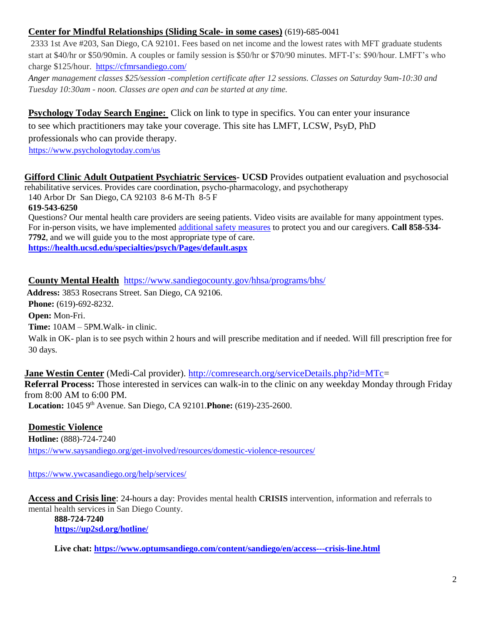#### **Center for Mindful Relationships (Sliding Scale- in some cases)** (619)-685-0041

2333 1st Ave #203, San Diego, CA 92101. Fees based on net income and the lowest rates with MFT graduate students start at \$40/hr or \$50/90min. A couples or family session is \$50/hr or \$70/90 minutes. MFT-I's: \$90/hour. LMFT's who charge \$125/hour. <https://cfmrsandiego.com/>

*Anger management classes \$25/session -completion certificate after 12 sessions. Classes on Saturday 9am-10:30 and Tuesday 10:30am - noon. Classes are open and can be started at any time.*

**Psychology Today Search Engine:** Click on link to type in specifics. You can enter your insurance

to see which practitioners may take your coverage. This site has LMFT, LCSW, PsyD, PhD

professionals who can provide therapy.

<https://www.psychologytoday.com/us>

**[Gifford Clinic Adult Outpatient Psychiatric Services-](https://my211.force.com/a1j41000000fAMDAA2) UCSD** Provides outpatient evaluation and psychosocial rehabilitative services. Provides care coordination, psycho-pharmacology, and psychotherapy

140 Arbor Dr San Diego, CA 92103 8-6 M-Th 8-5 F

**619-543-6250**

Questions? Our mental health care providers are seeing patients. Video visits are available for many appointment types. For in-person visits, we have implemented [additional safety measures](https://health.ucsd.edu/coronavirus/Pages/safety-measures.aspx) to protect you and our caregivers. **Call 858-534- 7792**, and we will guide you to the most appropriate type of care. **<https://health.ucsd.edu/specialties/psych/Pages/default.aspx>**

**County Mental Health** <https://www.sandiegocounty.gov/hhsa/programs/bhs/>

**Address:** 3853 Rosecrans Street. San Diego, CA 92106.

**Phone:** (619)-692-8232.

**Open:** Mon-Fri.

**Time:** 10AM – 5PM.Walk- in clinic.

Walk in OK- plan is to see psych within 2 hours and will prescribe meditation and if needed. Will fill prescription free for 30 days.

**Jane Westin Center** (Medi-Cal provider). [http://comresearch.org/serviceDetails.php?id=MTc=](http://comresearch.org/serviceDetails.php?id=MTc) **Referral Process:** Those interested in services can walk-in to the clinic on any weekday Monday through Friday from 8:00 AM to 6:00 PM. **Location:** 1045 9th Avenue. San Diego, CA 92101.**Phone:** (619)-235-2600.

**Domestic Violence**

**Hotline:** (888)-724-7240 <https://www.saysandiego.org/get-involved/resources/domestic-violence-resources/>

<https://www.ywcasandiego.org/help/services/>

**Access and Crisis line**: 24-hours a day: Provides mental health **CRISIS** intervention, information and referrals to mental health services in San Diego County.

**888-724-7240 <https://up2sd.org/hotline/>**

**Live chat: <https://www.optumsandiego.com/content/sandiego/en/access---crisis-line.html>**